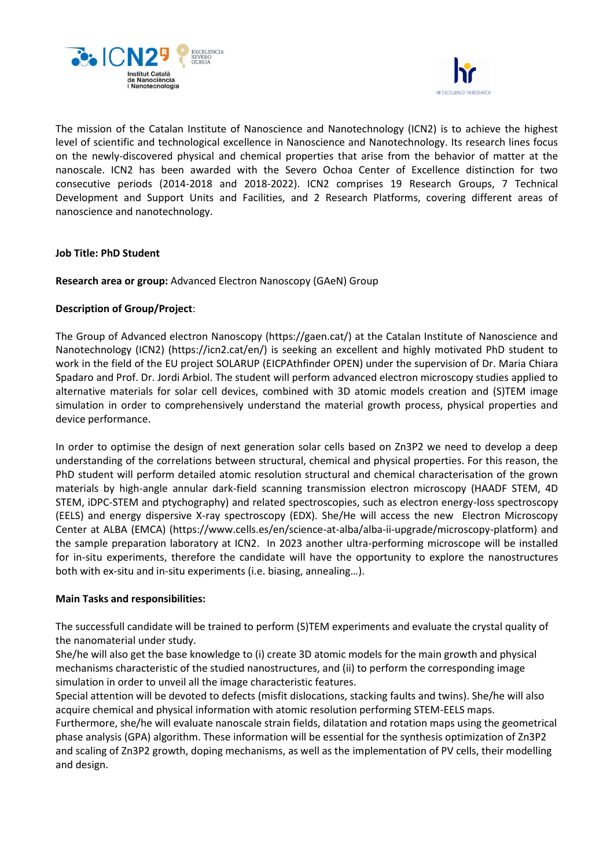



The mission of the Catalan Institute of Nanoscience and Nanotechnology (ICN2) is to achieve the highest level of scientific and technological excellence in Nanoscience and Nanotechnology. Its research lines focus on the newly-discovered physical and chemical properties that arise from the behavior of matter at the nanoscale. ICN2 has been awarded with the Severo Ochoa Center of Excellence distinction for two consecutive periods (2014-2018 and 2018-2022). ICN2 comprises 19 Research Groups, 7 Technical Development and Support Units and Facilities, and 2 Research Platforms, covering different areas of nanoscience and nanotechnology.

## **Job Title: PhD Student**

**Research area or group:** Advanced Electron Nanoscopy (GAeN) Group

## **Description of Group/Project**:

The Group of Advanced electron Nanoscopy (https://gaen.cat/) at the Catalan Institute of Nanoscience and Nanotechnology (ICN2) (https://icn2.cat/en/) is seeking an excellent and highly motivated PhD student to work in the field of the EU project SOLARUP (EICPAthfinder OPEN) under the supervision of Dr. Maria Chiara Spadaro and Prof. Dr. Jordi Arbiol. The student will perform advanced electron microscopy studies applied to alternative materials for solar cell devices, combined with 3D atomic models creation and (S)TEM image simulation in order to comprehensively understand the material growth process, physical properties and device performance.

In order to optimise the design of next generation solar cells based on Zn3P2 we need to develop a deep understanding of the correlations between structural, chemical and physical properties. For this reason, the PhD student will perform detailed atomic resolution structural and chemical characterisation of the grown materials by high-angle annular dark-field scanning transmission electron microscopy (HAADF STEM, 4D STEM, iDPC-STEM and ptychography) and related spectroscopies, such as electron energy-loss spectroscopy (EELS) and energy dispersive X-ray spectroscopy (EDX). She/He will access the new Electron Microscopy Center at ALBA (EMCA) (https://www.cells.es/en/science-at-alba/alba-ii-upgrade/microscopy-platform) and the sample preparation laboratory at ICN2. In 2023 another ultra-performing microscope will be installed for in-situ experiments, therefore the candidate will have the opportunity to explore the nanostructures both with ex-situ and in-situ experiments (i.e. biasing, annealing…).

### **Main Tasks and responsibilities:**

The successfull candidate will be trained to perform (S)TEM experiments and evaluate the crystal quality of the nanomaterial under study.

She/he will also get the base knowledge to (i) create 3D atomic models for the main growth and physical mechanisms characteristic of the studied nanostructures, and (ii) to perform the corresponding image simulation in order to unveil all the image characteristic features.

Special attention will be devoted to defects (misfit dislocations, stacking faults and twins). She/he will also acquire chemical and physical information with atomic resolution performing STEM-EELS maps. Furthermore, she/he will evaluate nanoscale strain fields, dilatation and rotation maps using the geometrical phase analysis (GPA) algorithm. These information will be essential for the synthesis optimization of Zn3P2 and scaling of Zn3P2 growth, doping mechanisms, as well as the implementation of PV cells, their modelling and design.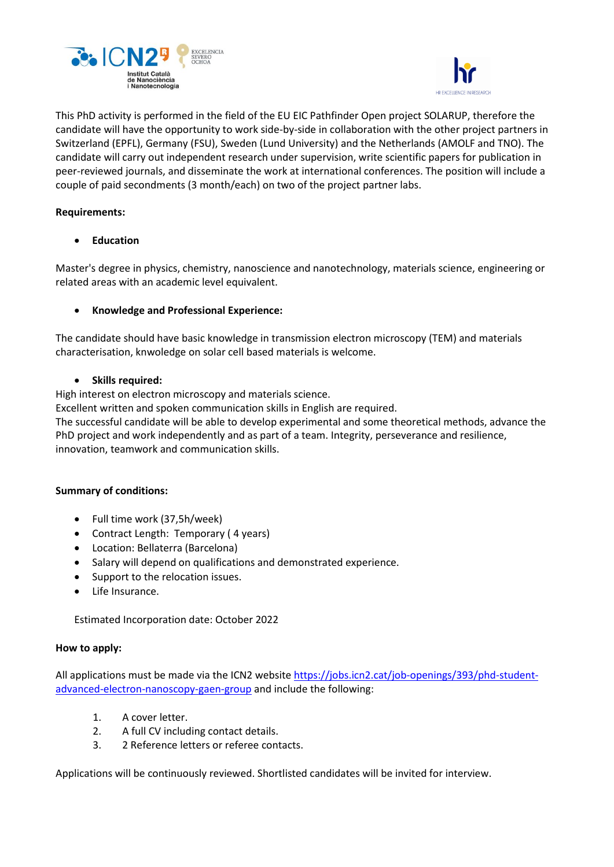



This PhD activity is performed in the field of the EU EIC Pathfinder Open project SOLARUP, therefore the candidate will have the opportunity to work side-by-side in collaboration with the other project partners in Switzerland (EPFL), Germany (FSU), Sweden (Lund University) and the Netherlands (AMOLF and TNO). The candidate will carry out independent research under supervision, write scientific papers for publication in peer-reviewed journals, and disseminate the work at international conferences. The position will include a couple of paid secondments (3 month/each) on two of the project partner labs.

# **Requirements:**

• **Education**

Master's degree in physics, chemistry, nanoscience and nanotechnology, materials science, engineering or related areas with an academic level equivalent.

## • **Knowledge and Professional Experience:**

The candidate should have basic knowledge in transmission electron microscopy (TEM) and materials characterisation, knwoledge on solar cell based materials is welcome.

### • **Skills required:**

High interest on electron microscopy and materials science.

Excellent written and spoken communication skills in English are required.

The successful candidate will be able to develop experimental and some theoretical methods, advance the PhD project and work independently and as part of a team. Integrity, perseverance and resilience, innovation, teamwork and communication skills.

### **Summary of conditions:**

- Full time work (37,5h/week)
- Contract Length: Temporary ( 4 years)
- Location: Bellaterra (Barcelona)
- Salary will depend on qualifications and demonstrated experience.
- Support to the relocation issues.
- Life Insurance.

Estimated Incorporation date: October 2022

### **How to apply:**

All applications must be made via the ICN2 website [https://jobs.icn2.cat/job-openings/393/phd-student](https://jobs.icn2.cat/job-openings/393/phd-student-advanced-electron-nanoscopy-gaen-group)[advanced-electron-nanoscopy-gaen-group](https://jobs.icn2.cat/job-openings/393/phd-student-advanced-electron-nanoscopy-gaen-group) and include the following:

- 1. A cover letter.
- 2. A full CV including contact details.
- 3. 2 Reference letters or referee contacts.

Applications will be continuously reviewed. Shortlisted candidates will be invited for interview.